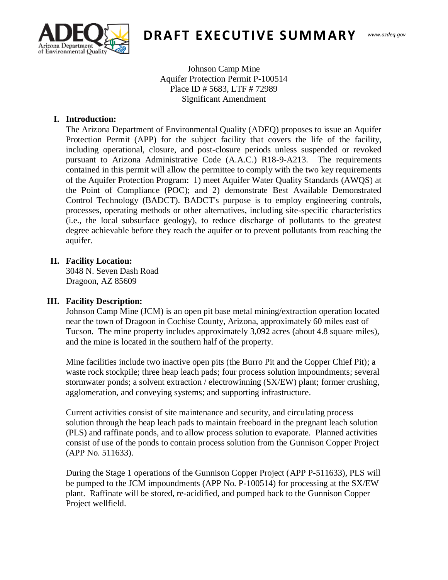

**DRAFT EXECUTIVE SUMMARY** 

Johnson Camp Mine Aquifer Protection Permit P-100514 Place ID # 5683, LTF # 72989 Significant Amendment

### **I. Introduction:**

(520) 628-6733 The Arizona Department of Environmental Quality (ADEQ) proposes to issue an Aquifer Protection Permit (APP) for the subject facility that covers the life of the facility, including operational, closure, and post-closure periods unless suspended or revoked pursuant to Arizona Administrative Code (A.A.C.) R18-9-A213. The requirements contained in this permit will allow the permittee to comply with the two key requirements of the Aquifer Protection Program: 1) meet Aquifer Water Quality Standards (AWQS) at the Point of Compliance (POC); and 2) demonstrate Best Available Demonstrated Control Technology (BADCT). BADCT's purpose is to employ engineering controls, processes, operating methods or other alternatives, including site-specific characteristics (i.e., the local subsurface geology), to reduce discharge of pollutants to the greatest degree achievable before they reach the aquifer or to prevent pollutants from reaching the aquifer.

#### **II. Facility Location:**

3048 N. Seven Dash Road Dragoon, AZ 85609

#### **III. Facility Description:**

Johnson Camp Mine (JCM) is an open pit base metal mining/extraction operation located near the town of Dragoon in Cochise County, Arizona, approximately 60 miles east of Tucson. The mine property includes approximately 3,092 acres (about 4.8 square miles), and the mine is located in the southern half of the property.

Mine facilities include two inactive open pits (the Burro Pit and the Copper Chief Pit); a waste rock stockpile; three heap leach pads; four process solution impoundments; several stormwater ponds; a solvent extraction / electrowinning (SX/EW) plant; former crushing, agglomeration, and conveying systems; and supporting infrastructure.

Current activities consist of site maintenance and security, and circulating process solution through the heap leach pads to maintain freeboard in the pregnant leach solution (PLS) and raffinate ponds, and to allow process solution to evaporate. Planned activities consist of use of the ponds to contain process solution from the Gunnison Copper Project (APP No. 511633).

During the Stage 1 operations of the Gunnison Copper Project (APP P-511633), PLS will be pumped to the JCM impoundments (APP No. P-100514) for processing at the SX/EW plant. Raffinate will be stored, re-acidified, and pumped back to the Gunnison Copper Project wellfield.